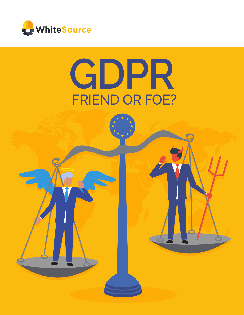

# **GDPR** FRIEND OR FOE?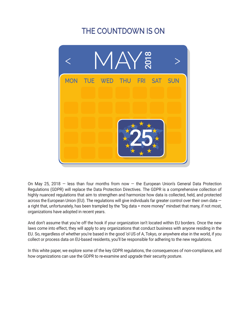## **THE COUNTDOWN IS ON**



On May 25, 2018 – less than four months from now – the European Union's General Data Protection Regulations (GDPR) will replace the Data Protection Directives. The GDPR is a comprehensive collection of highly nuanced regulations that aim to strengthen and harmonize how data is collected, held, and protected across the European Union (EU). The regulations will give individuals far greater control over their own data a right that, unfortunately, has been trampled by the "big data = more money" mindset that many, if not most, organizations have adopted in recent years.

And don't assume that you're off the hook if your organization isn't located within EU borders. Once the new laws come into effect, they will apply to any organizations that conduct business with anyone residing in the EU. So, regardless of whether you're based in the good 'ol US of A, Tokyo, or anywhere else in the world, if you collect or process data on EU-based residents, you'll be responsible for adhering to the new regulations.

In this white paper, we explore some of the key GDPR regulations, the consequences of non-compliance, and how organizations can use the GDPR to re-examine and upgrade their security posture.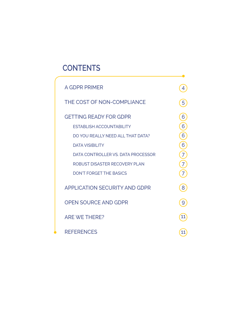## **CONTENTS**

| A GDPR PRIMER                                                          | 4                   |
|------------------------------------------------------------------------|---------------------|
| THE COST OF NON-COMPLIANCE                                             | 5                   |
| <b>GETTING READY FOR GDPR</b><br><b>ESTABLISH ACCOUNTABILITY</b>       | 6<br>6              |
| DO YOU REALLY NEED ALL THAT DATA?<br><b>DATA VISIBILITY</b>            | 6<br>6              |
| DATA CONTROLLER VS. DATA PROCESSOR<br>ROBUST DISASTER RECOVERY PLAN    | $\overline{7}$<br>7 |
| <b>DON'T FORGET THE BASICS</b><br><b>APPLICATION SECURITY AND GDPR</b> | 8                   |
| <b>OPEN SOURCE AND GDPR</b>                                            | 9                   |
| <b>ARE WE THERE?</b>                                                   | 11                  |
| <b>REFERENCES</b>                                                      | 11                  |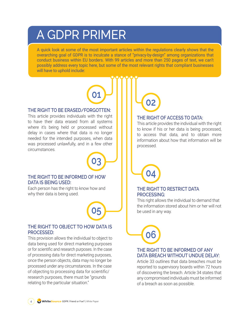## <span id="page-3-0"></span>A GDPR PRIMER

A quick look at some of the most important articles within the regulations clearly shows that the overarching goal of GDPR is to inculcate a stance of "privacy-by-design" among organizations that conduct business within EU borders. With 99 articles and more than 250 pages of text, we can't possibly address every topic here, but some of the most relevant rights that compliant businesses will have to uphold include:

**01**

#### **THE RIGHT TO BE ERASED/FORGOTTEN:**

This article provides individuals with the right to have their data erased from all systems where it's being held or processed without delay in cases where that data is no longer needed for the intended purposes, when data was processed unlawfully, and in a few other circumstances.



**05**

#### **THE RIGHT TO BE INFORMED OF HOW DATA IS BEING USED:**

Each person has the right to know how and why their data is being used.

#### **THE RIGHT TO OBJECT TO HOW DATA IS PROCESSED:**

This provision allows the individual to object to data being used for direct marketing purposes or for scientific and research purposes. In the case of processing data for direct marketing purposes, once the person objects, data may no longer be processed under any circumstances. In the case of objecting to processing data for scientific/ research purposes, there must be "grounds relating to the particular situation."



#### **THE RIGHT OF ACCESS TO DATA:**

This article provides the individual with the right to know if his or her data is being processed, to access that data, and to obtain more information about how that information will be processed.



**06**

#### **THE RIGHT TO RESTRICT DATA PROCESSING:**

This right allows the individual to demand that the information stored about him or her will not be used in any way.

#### **THE RIGHT TO BE INFORMED OF ANY DATA BREACH WITHOUT UNDUE DELAY:**

Article 33 outlines that data breaches must be reported to supervisory boards within 72 hours of discovering the breach. Article 34 states that any compromised individuals must be informed of a breach as soon as possible.

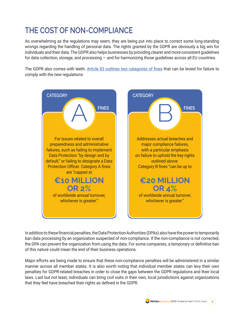## <span id="page-4-0"></span>**THE COST OF NON-COMPLIANCE**

As overwhelming as the regulations may seem, they are being put into place to correct some long-standing wrongs regarding the handling of personal data. The rights granted by the GDPR are obviously a big win for individuals and their data. The GDPR also helps businesses by providing clearer and more consistent guidelines for data collection, storage, and processing — and for harmonizing those guidelines across all EU countries.

The GDPR also comes with teeth. [Article 83 outlines two categories of fines](https://www.winterhawkconsulting.com/wp-content/uploads/GDPR_PenaltiesForNonCompliance_FINALsec.pdf) that can be levied for failure to comply with the new regulations:



In addition to these financial penalties, the Data Protection Authorities (DPAs) also have the power to temporarily ban data processing by an organization suspected of non-compliance. If the non-compliance is not corrected, the DPA can prevent the organization from using the data. For some companies, a temporary or definitive ban of this nature could mean the end of their business operations.

Major efforts are being made to ensure that these non-compliance penalties will be administered in a similar manner across all member states. It is also worth noting that individual member states can levy their own penalties for GDPR-related breaches in order to close the gaps between the GDPR regulations and their local laws. Last but not least, individuals can bring civil suits in their own, local jurisdictions against organizations that they feel have breached their rights as defined in the GDPR.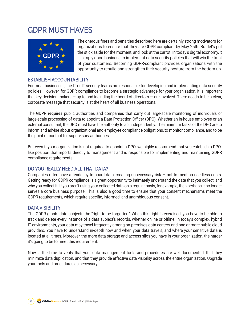## <span id="page-5-0"></span>**GDPR MUST HAVES**



The onerous fines and penalties described here are certainly strong motivators for organizations to ensure that they are GDPR-compliant by May 25th. But let's put the stick aside for the moment, and look at the carrot. In today's digital economy, it is simply good business to implement data security policies that will win the trust of your customers. Becoming GDPR-compliant provides organizations with the opportunity to rebuild and strengthen their security posture from the bottom-up.

#### **ESTABLISH ACCOUNTABILITY**

For most businesses, the IT or IT security teams are responsible for developing and implementing data security policies. However, for GDPR compliance to become a strategic advantage for your organization, it is important that key decision makers — up to and including the board of directors — are involved. There needs to be a clear, corporate message that security is at the heart of all business operations.

The GDPR **requires** public authorities and companies that carry out large-scale monitoring of individuals or large-scale processing of data to appoint a Data Protection Officer (DPO). Whether an in-house employee or an external consultant, the DPO must have the authority to act independently. The minimum tasks of the DPO are to inform and advise about organizational and employee compliance obligations, to monitor compliance, and to be the point of contact for supervisory authorities.

But even if your organization is not required to appoint a DPO, we highly recommend that you establish a DPOlike position that reports directly to management and is responsible for implementing and maintaining GDPR compliance requirements.

#### **DO YOU REALLY NEED ALL THAT DATA?**

Companies often have a tendency to hoard data, creating unnecessary risk  $-$  not to mention needless costs. Getting ready for GDPR compliance is a great opportunity to intimately understand the data that you collect, and why you collect it. If you aren't using your collected data on a regular basis, for example, then perhaps it no longer serves a core business purpose. This is also a good time to ensure that your consent mechanisms meet the GDPR requirements, which require specific, informed, and unambiguous consent.

#### **DATA VISIBILITY**

The GDPR grants data subjects the "right to be forgotten." When this right is exercised, you have to be able to track and delete every instance of a data subject's records, whether online or offline. In today's complex, hybrid IT environments, your data may travel frequently among on-premises data centers and one or more public cloud providers. You have to understand in-depth how and when your data travels, and where your sensitive data is located at all times. Moreover, the more data storage and access silos you have in your organization, the harder it's going to be to meet this requirement.

Now is the time to verify that your data management tools and procedures are well-documented, that they minimize data duplication, and that they provide effective data visibility across the entire organization. Upgrade your tools and procedures as necessary.

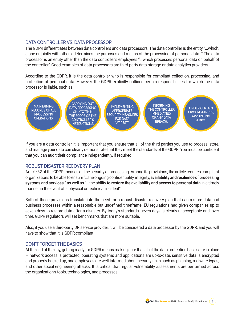#### <span id="page-6-0"></span>**DATA CONTROLLER VS. DATA PROCESSOR**

The GDPR differentiates between data controllers and data processors. The data controller is the entity "...which, alone or jointly with others, determines the purposes and means of the processing of personal data. " The data processor is an entity other than the data controller's employees "...which processes personal data on behalf of the controller." Good examples of data processors are third-party data storage or data analytics providers.

According to the GDPR, it is the data controller who is responsible for compliant collection, processing, and protection of personal data. However, the GDPR explicitly outlines certain responsibilities for which the data processor is liable, such as:



If you are a data controller, it is important that you ensure that all of the third parties you use to process, store, and manage your data can clearly demonstrate that they meet the standards of the GDPR. You must be confident that you can audit their compliance independently, if required.

#### **ROBUST DISASTER RECOVERY PLAN**

Article 32 of the GDPR focuses on the security of processing. Among its provisions, the article requires compliant organizations to be able to ensure "...the ongoing confidentiality, integrity, **availability and resilience of processing systems and services,**" as well as "...the ability **to restore the availability and access to personal data** in a timely manner in the event of a physical or technical incident".

Both of these provisions translate into the need for a robust disaster recovery plan that can restore data and business processes within a reasonable but undefined timeframe. EU regulations had given companies up to seven days to restore data after a disaster. By today's standards, seven days is clearly unacceptable and, over time, GDPR regulators will set benchmarks that are more suitable.

Also, if you use a third-party DR service provider, it will be considered a data processor by the GDPR, and you will have to show that it is GDPR-compliant.

#### **DON'T FORGET THE BASICS**

At the end of the day, getting ready for GDPR means making sure that all of the data protection basics are in place — network access is protected, operating systems and applications are up-to-date, sensitive data is encrypted and properly backed up, and employees are well-informed about security risks such as phishing, malware types, and other social engineering attacks. It is critical that regular vulnerability assessments are performed across the organization's tools, technologies, and processes.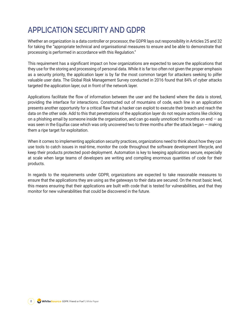## <span id="page-7-0"></span>**APPLICATION SECURITY AND GDPR**

Whether an organization is a data controller or processor, the GDPR lays out responsibility in Articles 25 and 32 for taking the "appropriate technical and organisational measures to ensure and be able to demonstrate that processing is performed in accordance with this Regulation."

This requirement has a significant impact on how organizations are expected to secure the applications that they use for the storing and processing of personal data. While it is far too often not given the proper emphasis as a security priority, the application layer is by far the most common target for attackers seeking to pilfer valuable user data. The Global Risk Management Survey conducted in 2016 found that 84% of cyber attacks targeted the application layer, out in front of the network layer.

Applications facilitate the flow of information between the user and the backend where the data is stored, providing the interface for interactions. Constructed out of mountains of code, each line in an application presents another opportunity for a critical flaw that a hacker can exploit to execute their breach and reach the data on the other side. Add to this that penetrations of the application layer do not require actions like clicking on a phishing email by someone inside the organization, and can go easily unnoticed for months on end  $-$  as was seen in the Equifax case which was only uncovered two to three months after the attack began — making them a ripe target for exploitation.

When it comes to implementing application security practices, organizations need to think about how they can use tools to catch issues in real-time, monitor the code throughout the software development lifecycle, and keep their products protected post-deployment. Automation is key to keeping applications secure, especially at scale when large teams of developers are writing and compiling enormous quantities of code for their products.

In regards to the requirements under GDPR, organizations are expected to take reasonable measures to ensure that the applications they are using as the gateways to their data are secured. On the most basic level, this means ensuring that their applications are built with code that is tested for vulnerabilities, and that they monitor for new vulnerabilities that could be discovered in the future.

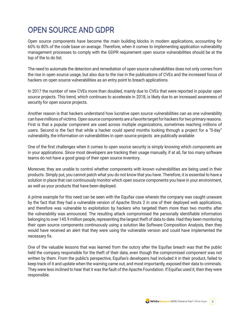## <span id="page-8-0"></span>**OPEN SOURCE AND GDPR**

Open source components have become the main building blocks in modern applications, accounting for 60% to 80% of the code base on average. Therefore, when it comes to implementing application vulnerability management processes to comply with the GDPR requirement open source vulnerabilities should be at the top of the to do list.

The need to automate the detection and remediation of open source vulnerabilities does not only comes from the rise in open source usage, but also due to the rise in the publications of CVEs and the increased focus of hackers on open source vulnerabilities as an entry point to breach applications.

In 2017 the number of new CVEs more than doubled, mainly due to CVEs that were reported in popular open source projects. This trend, which continues to accelerate in 2018, is likely due to an increased awareness of security for open source projects.

Another reason is that hackers understand how lucrative open source vulnerabilities can as one vulnerability can have millions of victims. Open source components are a favorite target for hackers for two primary reasons. First is that a popular component are used across multiple organizations, sometimes reaching millions of users. Second is the fact that while a hacker could spend months looking through a project for a "0-day" vulnerability, the information on vulnerabilities in open source projects are publically available

One of the first challenges when it comes to open source security is simply knowing which components are in your applications. Since most developers are tracking their usage manually, if at all, far too many software teams do not have a good grasp of their open source inventory.

Moreover, they are unable to control whether components with known vulnerabilities are being used in their products. Simply put, you cannot patch what you do not know that you have. Therefore, it is essential to have a solution in place that can continuously monitor which open source components you have in your environment, as well as your products that have been deployed.

A prime example for this need can be seen with the Equifax case wherein the company was caught unaware by the fact that they had a vulnerable version of Apache Struts 2 in one of their deployed web applications, and therefore was vulnerable to exploitation by hackers who targeted them more than two months after the vulnerability was announced. The resulting attack compromised the personally identifiable information belonging to over 145.9 million people, representing the largest theft of data to date. Had they been monitoring their open source components continuously using a solution like Software Composition Analysis, then they would have received an alert that they were using the vulnerable version and could have implemented the necessary fix.

One of the valuable lessons that was learned from the outcry after the Equifax breach was that the public held the company responsible for the theft of their data, even though the compromised component was not written by them. From the public's perspective, Equifax's developers had included it in their product, failed to keep track of it and update when the warning came out, and most importantly, exposed their data to criminals. They were less inclined to hear that it was the fault of the Apache Foundation. If Equifax used it, then they were responsible.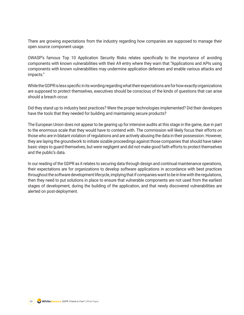There are growing expectations from the industry regarding how companies are supposed to manage their open source component usage.

OWASP's famous Top 10 Application Security Risks relates specifically to the importance of avoiding components with known vulnerabilities with their A9 entry where they warn that "Applications and APIs using components with known vulnerabilities may undermine application defenses and enable various attacks and impacts."

While the GDPR is less specific in its wording regarding what their expectations are for how exactly organizations are supposed to protect themselves, executives should be conscious of the kinds of questions that can arise should a breach occur.

Did they stand up to industry best practices? Were the proper technologies implemented? Did their developers have the tools that they needed for building and maintaining secure products?

The European Union does not appear to be gearing up for intensive audits at this stage in the game, due in part to the enormous scale that they would have to contend with. The commission will likely focus their efforts on those who are in blatant violation of regulations and are actively abusing the data in their possession. However, they are laying the groundwork to initiate sizable proceedings against those companies that should have taken basic steps to guard themselves, but were negligent and did not make good faith efforts to protect themselves and the public's data.

In our reading of the GDPR as it relates to securing data through design and continual maintenance operations, their expectations are for organizations to develop software applications in accordance with best practices throughout the software development lifecycle, implying that if companies want to be in line with the regulations, then they need to put solutions in place to ensure that vulnerable components are not used from the earliest stages of development, during the building of the application, and that newly discovered vulnerabilities are alerted on post-deployment.